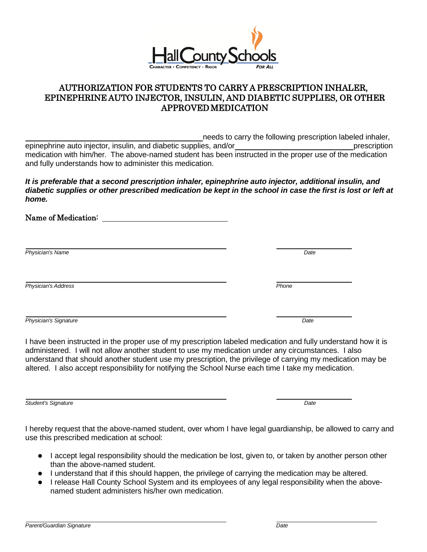

## AUTHORIZATION FOR STUDENTS TO CARRY A PRESCRIPTION INHALER, EPINEPHRINE AUTO INJECTOR, INSULIN, AND DIABETIC SUPPLIES, OR OTHER APPROVED MEDICATION

needs to carry the following prescription labeled inhaler, epinephrine auto injector, insulin, and diabetic supplies, and/or prescription prescription medication with him/her. The above-named student has been instructed in the proper use of the medication and fully understands how to administer this medication.

*It is preferable that a second prescription inhaler, epinephrine auto injector, additional insulin, and diabetic supplies or other prescribed medication be kept in the school in case the first is lost or left at home.*

Name of Medication:

*Physician's Name Date*

*Physician's Address Phone*

*Physician's Signature Date*

I have been instructed in the proper use of my prescription labeled medication and fully understand how it is administered. I will not allow another student to use my medication under any circumstances. I also understand that should another student use my prescription, the privilege of carrying my medication may be altered. I also accept responsibility for notifying the School Nurse each time I take my medication.

*Student's Signature Date*

I hereby request that the above-named student, over whom I have legal guardianship, be allowed to carry and use this prescribed medication at school:

- I accept legal responsibility should the medication be lost, given to, or taken by another person other than the above-named student.
- I understand that if this should happen, the privilege of carrying the medication may be altered.
- I release Hall County School System and its employees of any legal responsibility when the abovenamed student administers his/her own medication.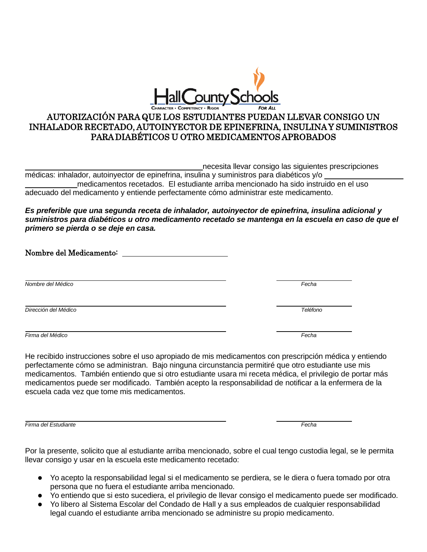

## AUTORIZACIÓN PARA QUE LOS ESTUDIANTES PUEDAN LLEVAR CONSIGO UN INHALADOR RECETADO, AUTOINYECTOR DE EPINEFRINA, INSULINA Y SUMINISTROS PARA DIABÉTICOS U OTRO MEDICAMENTOS APROBADOS

necesita llevar consigo las siguientes prescripciones

médicas: inhalador, autoinyector de epinefrina, insulina y suministros para diabéticos y/o medicamentos recetados. El estudiante arriba mencionado ha sido instruido en el uso adecuado del medicamento y entiende perfectamente cómo administrar este medicamento.

*Es preferible que una segunda receta de inhalador, autoinyector de epinefrina, insulina adicional y suministros para diabéticos u otro medicamento recetado se mantenga en la escuela en caso de que el primero se pierda o se deje en casa.*

Nombre del Medicamento:

*Nombre del Médico Fecha*

*Dirección del Médico Teléfono*

*Firma del Médico Fecha*

He recibido instrucciones sobre el uso apropiado de mis medicamentos con prescripción médica y entiendo perfectamente cómo se administran. Bajo ninguna circunstancia permitiré que otro estudiante use mis medicamentos. También entiendo que si otro estudiante usara mi receta médica, el privilegio de portar más medicamentos puede ser modificado. También acepto la responsabilidad de notificar a la enfermera de la escuela cada vez que tome mis medicamentos.

*Firma del Estudiante Fecha*

Por la presente, solicito que al estudiante arriba mencionado, sobre el cual tengo custodia legal, se le permita llevar consigo y usar en la escuela este medicamento recetado:

- Yo acepto la responsabilidad legal si el medicamento se perdiera, se le diera o fuera tomado por otra persona que no fuera el estudiante arriba mencionado.
- Yo entiendo que si esto sucediera, el privilegio de llevar consigo el medicamento puede ser modificado.
- Yo libero al Sistema Escolar del Condado de Hall y a sus empleados de cualquier responsabilidad legal cuando el estudiante arriba mencionado se administre su propio medicamento.